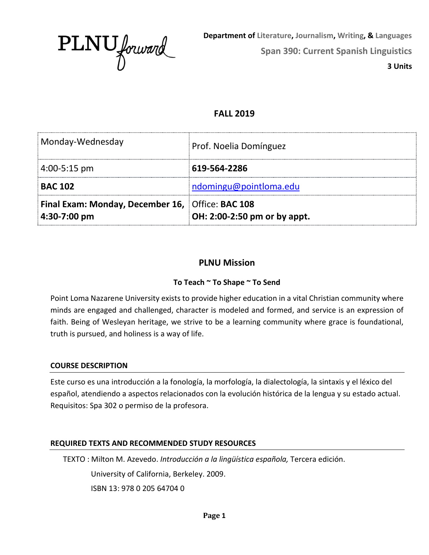

**Department of Literature, Journalism, Writing, & Languages Span 390: Current Spanish Linguistics 3 Units**

# **FALL 2019**

| Monday-Wednesday                                                        | Prof. Noelia Domínguez       |
|-------------------------------------------------------------------------|------------------------------|
| $4:00-5:15$ pm                                                          | 619-564-2286                 |
| <b>BAC 102</b>                                                          | ndomingu@pointloma.edu       |
| <b>Final Exam: Monday, December 16, Office: BAC 108</b><br>4:30-7:00 pm | OH: 2:00-2:50 pm or by appt. |

# **PLNU Mission**

# **To Teach ~ To Shape ~ To Send**

Point Loma Nazarene University exists to provide higher education in a vital Christian community where minds are engaged and challenged, character is modeled and formed, and service is an expression of faith. Being of Wesleyan heritage, we strive to be a learning community where grace is foundational, truth is pursued, and holiness is a way of life.

# **COURSE DESCRIPTION**

Este curso es una introducción a la fonología, la morfología, la dialectología, la sintaxis y el léxico del español, atendiendo a aspectos relacionados con la evolución histórica de la lengua y su estado actual. Requisitos: Spa 302 o permiso de la profesora.

# **REQUIRED TEXTS AND RECOMMENDED STUDY RESOURCES**

TEXTO : Milton M. Azevedo. *Introducción a la lingüística española,* Tercera edición. University of California, Berkeley. 2009. ISBN 13: 978 0 205 64704 0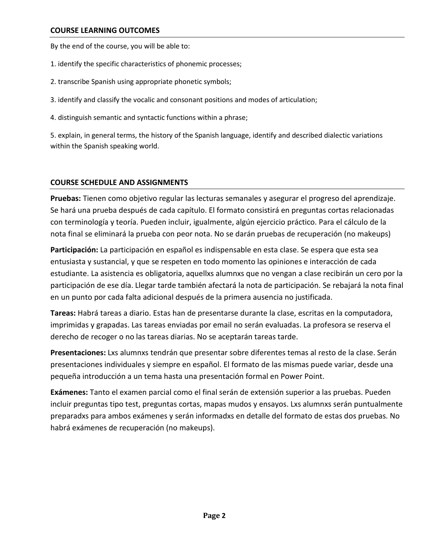By the end of the course, you will be able to:

- 1. identify the specific characteristics of phonemic processes;
- 2. transcribe Spanish using appropriate phonetic symbols;
- 3. identify and classify the vocalic and consonant positions and modes of articulation;
- 4. distinguish semantic and syntactic functions within a phrase;

5. explain, in general terms, the history of the Spanish language, identify and described dialectic variations within the Spanish speaking world.

# **COURSE SCHEDULE AND ASSIGNMENTS**

**Pruebas:** Tienen como objetivo regular las lecturas semanales y asegurar el progreso del aprendizaje. Se hará una prueba después de cada capítulo. El formato consistirá en preguntas cortas relacionadas con terminología y teoría. Pueden incluir, igualmente, algún ejercicio práctico. Para el cálculo de la nota final se eliminará la prueba con peor nota. No se darán pruebas de recuperación (no makeups)

**Participación:** La participación en español es indispensable en esta clase. Se espera que esta sea entusiasta y sustancial, y que se respeten en todo momento las opiniones e interacción de cada estudiante. La asistencia es obligatoria, aquellxs alumnxs que no vengan a clase recibirán un cero por la participación de ese día. Llegar tarde también afectará la nota de participación. Se rebajará la nota final en un punto por cada falta adicional después de la primera ausencia no justificada.

**Tareas:** Habrá tareas a diario. Estas han de presentarse durante la clase, escritas en la computadora, imprimidas y grapadas. Las tareas enviadas por email no serán evaluadas. La profesora se reserva el derecho de recoger o no las tareas diarias. No se aceptarán tareas tarde.

**Presentaciones:** Lxs alumnxs tendrán que presentar sobre diferentes temas al resto de la clase. Serán presentaciones individuales y siempre en español. El formato de las mismas puede variar, desde una pequeña introducción a un tema hasta una presentación formal en Power Point.

**Exámenes:** Tanto el examen parcial como el final serán de extensión superior a las pruebas. Pueden incluir preguntas tipo test, preguntas cortas, mapas mudos y ensayos. Lxs alumnxs serán puntualmente preparadxs para ambos exámenes y serán informadxs en detalle del formato de estas dos pruebas. No habrá exámenes de recuperación (no makeups).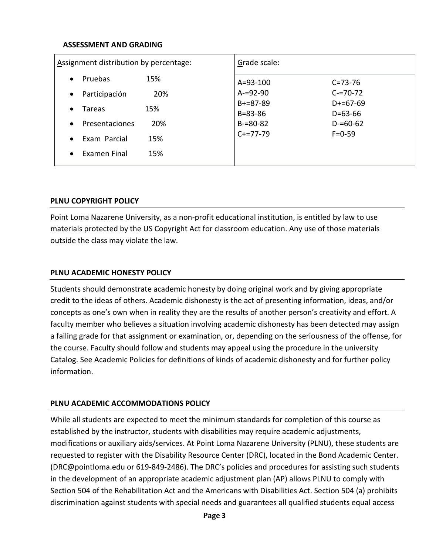#### **ASSESSMENT AND GRADING**

| Assignment distribution by percentage: | Grade scale:                   |                                |
|----------------------------------------|--------------------------------|--------------------------------|
| Pruebas<br>15%<br>$\bullet$            | $A = 93 - 100$                 | $C = 73 - 76$                  |
| Participación<br>20%<br>$\bullet$      | $A = 92 - 90$                  | $C = 70 - 72$                  |
| 15%<br>Tareas<br>$\bullet$             | $B+=87-89$                     | $D+=67-69$                     |
| 20%<br>Presentaciones<br>$\bullet$     | $B = 83 - 86$<br>$B = 80 - 82$ | $D = 63 - 66$<br>$D = 60 - 62$ |
|                                        | $C+=77-79$                     | $F = 0.59$                     |
| Exam Parcial<br>15%<br>$\bullet$       |                                |                                |
| 15%<br>Examen Final<br>$\bullet$       |                                |                                |

### **PLNU COPYRIGHT POLICY**

Point Loma Nazarene University, as a non-profit educational institution, is entitled by law to use materials protected by the US Copyright Act for classroom education. Any use of those materials outside the class may violate the law.

### **PLNU ACADEMIC HONESTY POLICY**

Students should demonstrate academic honesty by doing original work and by giving appropriate credit to the ideas of others. Academic dishonesty is the act of presenting information, ideas, and/or concepts as one's own when in reality they are the results of another person's creativity and effort. A faculty member who believes a situation involving academic dishonesty has been detected may assign a failing grade for that assignment or examination, or, depending on the seriousness of the offense, for the course. Faculty should follow and students may appeal using the procedure in the university Catalog. See Academic Policies for definitions of kinds of academic dishonesty and for further policy information.

### **PLNU ACADEMIC ACCOMMODATIONS POLICY**

While all students are expected to meet the minimum standards for completion of this course as established by the instructor, students with disabilities may require academic adjustments, modifications or auxiliary aids/services. At Point Loma Nazarene University (PLNU), these students are requested to register with the Disability Resource Center (DRC), located in the Bond Academic Center. (DRC@pointloma.edu or 619-849-2486). The DRC's policies and procedures for assisting such students in the development of an appropriate academic adjustment plan (AP) allows PLNU to comply with Section 504 of the Rehabilitation Act and the Americans with Disabilities Act. Section 504 (a) prohibits discrimination against students with special needs and guarantees all qualified students equal access